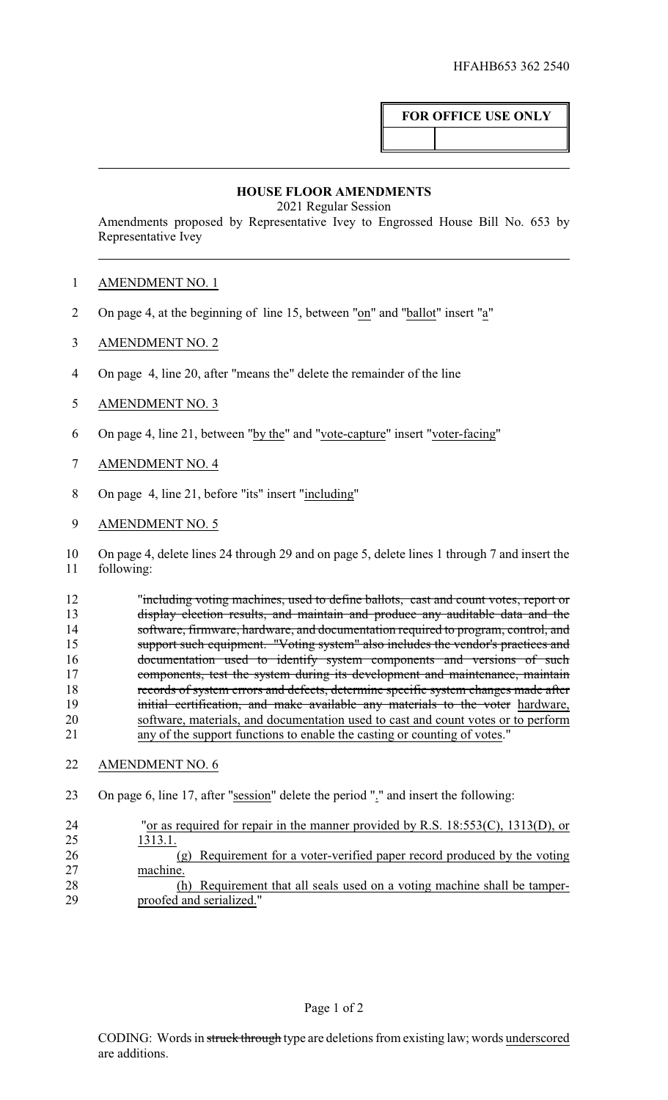## **FOR OFFICE USE ONLY**

## **HOUSE FLOOR AMENDMENTS**

2021 Regular Session

Amendments proposed by Representative Ivey to Engrossed House Bill No. 653 by Representative Ivey

## 1 AMENDMENT NO. 1

- 2 On page 4, at the beginning of line 15, between "on" and "ballot" insert "a"
- 3 AMENDMENT NO. 2
- 4 On page 4, line 20, after "means the" delete the remainder of the line
- 5 AMENDMENT NO. 3
- 6 On page 4, line 21, between "by the" and "vote-capture" insert "voter-facing"
- 7 AMENDMENT NO. 4
- 8 On page 4, line 21, before "its" insert "including"
- 9 AMENDMENT NO. 5

10 On page 4, delete lines 24 through 29 and on page 5, delete lines 1 through 7 and insert the 11 following:

12 "including voting machines, used to define ballots, cast and count votes, report or 13 display election results, and maintain and produce any auditable data and the 14 software, firmware, hardware, and documentation required to program, control, and 15 support such equipment. "Voting system" also includes the vendor's practices and 16 documentation used to identify system components and versions of such 17 components, test the system during its development and maintenance, maintain 18 records of system errors and defects, determine specific system changes made after 19 initial certification, and make available any materials to the voter hardware, 20 software, materials, and documentation used to cast and count votes or to perform<br>21 any of the support functions to enable the casting or counting of votes." any of the support functions to enable the casting or counting of votes."

- 22 AMENDMENT NO. 6
- 23 On page 6, line 17, after "session" delete the period "." and insert the following:

| 24 | "or as required for repair in the manner provided by R.S. $18:553(C)$ , $1313(D)$ , or |
|----|----------------------------------------------------------------------------------------|
| 25 | 1313.1.                                                                                |
| 26 | (g) Requirement for a voter-verified paper record produced by the voting               |
| 27 | machine.                                                                               |
| 28 | (h) Requirement that all seals used on a voting machine shall be tamper-               |
| 29 | proofed and serialized."                                                               |
|    |                                                                                        |